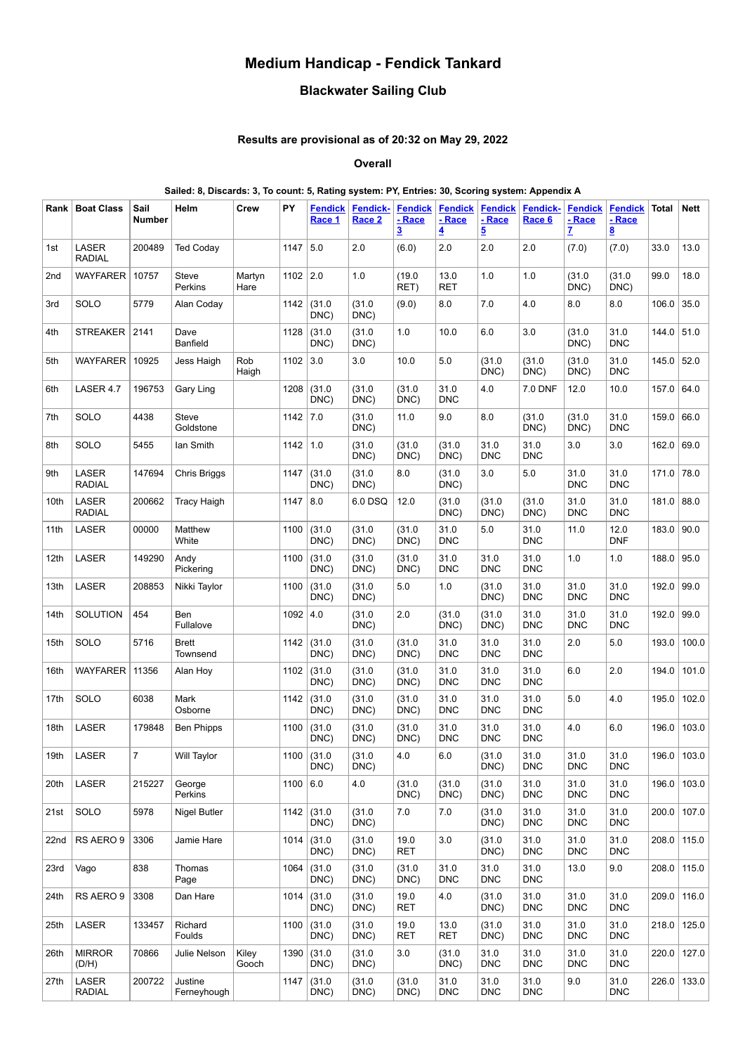# **Medium Handicap - Fendick Tankard**

## **Blackwater Sailing Club**

## **Results are provisional as of 20:32 on May 29, 2022**

**Overall**

#### **Sailed: 8, Discards: 3, To count: 5, Rating system: PY, Entries: 30, Scoring system: Appendix A**

| Rank            | <b>Boat Class</b>      | Sail<br>Number | Helm                     | Crew           | PY         | <b>Fendick</b><br>Race 1 | <b>Fendick-</b><br>Race 2 | <b>Fendick</b><br>- Race<br><u>3</u> | <b>Fendick</b><br>- Race<br>$\overline{\mathbf{4}}$ | <b>Fendick</b><br>- Race<br>$\overline{5}$ | Fendick-<br>Race 6 | <b>Fendick</b><br>- Race<br>$\mathbf{Z}$ | <b>Fendick</b><br>- Race<br><u>8</u> | Total | <b>Nett</b>   |
|-----------------|------------------------|----------------|--------------------------|----------------|------------|--------------------------|---------------------------|--------------------------------------|-----------------------------------------------------|--------------------------------------------|--------------------|------------------------------------------|--------------------------------------|-------|---------------|
| 1st             | LASER<br><b>RADIAL</b> | 200489         | <b>Ted Coday</b>         |                | 1147       | 5.0                      | 2.0                       | (6.0)                                | 2.0                                                 | 2.0                                        | 2.0                | (7.0)                                    | (7.0)                                | 33.0  | 13.0          |
| 2 <sub>nd</sub> | WAYFARER               | 10757          | Steve<br>Perkins         | Martyn<br>Hare | 1102       | 2.0                      | 1.0                       | (19.0)<br>RET)                       | 13.0<br><b>RET</b>                                  | 1.0                                        | 1.0                | (31.0)<br>DNC)                           | (31.0)<br>DNC)                       | 99.0  | 18.0          |
| 3rd             | SOLO                   | 5779           | Alan Coday               |                | 1142       | (31.0)<br>DNC)           | (31.0)<br>DNC)            | (9.0)                                | 8.0                                                 | 7.0                                        | 4.0                | 8.0                                      | 8.0                                  | 106.0 | 35.0          |
| 4th             | <b>STREAKER</b>        | 2141           | Dave<br><b>Banfield</b>  |                | 1128       | (31.0)<br>DNC)           | (31.0)<br>DNC)            | 1.0                                  | 10.0                                                | 6.0                                        | 3.0                | (31.0)<br>DNC)                           | 31.0<br><b>DNC</b>                   | 144.0 | 51.0          |
| 5th             | WAYFARER               | 10925          | Jess Haigh               | Rob<br>Haigh   | $1102$ 3.0 |                          | 3.0                       | 10.0                                 | 5.0                                                 | (31.0)<br>DNC)                             | (31.0)<br>DNC)     | (31.0)<br>DNC)                           | 31.0<br><b>DNC</b>                   | 145.0 | 52.0          |
| 6th             | LASER 4.7              | 196753         | Gary Ling                |                | 1208       | (31.0)<br>DNC)           | (31.0)<br>DNC)            | (31.0)<br>DNC)                       | 31.0<br><b>DNC</b>                                  | 4.0                                        | 7.0 DNF            | 12.0                                     | 10.0                                 | 157.0 | 64.0          |
| 7th             | SOLO                   | 4438           | Steve<br>Goldstone       |                | 1142       | 7.0                      | (31.0)<br>DNC)            | 11.0                                 | 9.0                                                 | 8.0                                        | (31.0)<br>DNC)     | (31.0)<br>DNC)                           | 31.0<br><b>DNC</b>                   | 159.0 | 66.0          |
| 8th             | SOLO                   | 5455           | lan Smith                |                | 1142       | 1.0                      | (31.0)<br>DNC)            | (31.0)<br>DNC)                       | (31.0)<br>DNC)                                      | 31.0<br><b>DNC</b>                         | 31.0<br><b>DNC</b> | 3.0                                      | 3.0                                  | 162.0 | 69.0          |
| 9th             | LASER<br><b>RADIAL</b> | 147694         | Chris Briggs             |                | 1147       | (31.0)<br>DNC)           | (31.0)<br>DNC)            | 8.0                                  | (31.0)<br>DNC)                                      | 3.0                                        | 5.0                | 31.0<br><b>DNC</b>                       | 31.0<br><b>DNC</b>                   | 171.0 | 78.0          |
| 10th            | LASER<br><b>RADIAL</b> | 200662         | <b>Tracy Haigh</b>       |                | 1147       | 8.0                      | 6.0 DSQ                   | 12.0                                 | (31.0)<br>DNC)                                      | (31.0)<br>DNC)                             | (31.0)<br>DNC)     | 31.0<br><b>DNC</b>                       | 31.0<br><b>DNC</b>                   | 181.0 | 88.0          |
| 11th            | LASER                  | 00000          | Matthew<br>White         |                | 1100       | (31.0)<br>DNC)           | (31.0)<br>DNC)            | (31.0)<br>DNC)                       | 31.0<br><b>DNC</b>                                  | 5.0                                        | 31.0<br><b>DNC</b> | 11.0                                     | 12.0<br><b>DNF</b>                   | 183.0 | 90.0          |
| 12th            | LASER                  | 149290         | Andy<br>Pickering        |                | 1100       | (31.0)<br>DNC)           | (31.0)<br>DNC)            | (31.0)<br>DNC)                       | 31.0<br><b>DNC</b>                                  | 31.0<br><b>DNC</b>                         | 31.0<br><b>DNC</b> | 1.0                                      | 1.0                                  | 188.0 | 95.0          |
| 13th            | LASER                  | 208853         | Nikki Taylor             |                | 1100       | (31.0)<br>DNC)           | (31.0)<br>DNC)            | 5.0                                  | 1.0                                                 | (31.0)<br>DNC)                             | 31.0<br><b>DNC</b> | 31.0<br><b>DNC</b>                       | 31.0<br><b>DNC</b>                   | 192.0 | 99.0          |
| 14th            | SOLUTION               | 454            | Ben<br>Fullalove         |                | 1092       | 4.0                      | (31.0)<br>DNC)            | 2.0                                  | (31.0)<br>DNC)                                      | (31.0)<br>DNC)                             | 31.0<br><b>DNC</b> | 31.0<br><b>DNC</b>                       | 31.0<br><b>DNC</b>                   | 192.0 | 99.0          |
| 15th            | SOLO                   | 5716           | <b>Brett</b><br>Townsend |                | 1142       | (31.0)<br>DNC)           | (31.0)<br>DNC)            | (31.0)<br>DNC)                       | 31.0<br><b>DNC</b>                                  | 31.0<br><b>DNC</b>                         | 31.0<br><b>DNC</b> | 2.0                                      | $5.0\,$                              | 193.0 | 100.0         |
| 16th            | <b>WAYFARER</b>        | 11356          | Alan Hoy                 |                | 1102       | (31.0)<br>DNC)           | (31.0)<br>DNC)            | (31.0)<br>DNC)                       | 31.0<br><b>DNC</b>                                  | 31.0<br><b>DNC</b>                         | 31.0<br><b>DNC</b> | 6.0                                      | 2.0                                  | 194.0 | 101.0         |
| 17th            | SOLO                   | 6038           | Mark<br>Osborne          |                | 1142       | (31.0)<br>DNC)           | (31.0)<br>DNC)            | (31.0)<br>DNC)                       | 31.0<br><b>DNC</b>                                  | 31.0<br><b>DNC</b>                         | 31.0<br><b>DNC</b> | 5.0                                      | 4.0                                  | 195.0 | 102.0         |
| 18th            | LASER                  | 179848         | <b>Ben Phipps</b>        |                | 1100       | (31.0)<br>DNC)           | (31.0)<br>DNC)            | (31.0)<br>DNC)                       | 31.0<br><b>DNC</b>                                  | 31.0<br><b>DNC</b>                         | 31.0<br><b>DNC</b> | 4.0                                      | 6.0                                  | 196.0 | 103.0         |
| 19th            | LASER                  | $\overline{7}$ | <b>Will Taylor</b>       |                | 1100       | (31.0)<br>DNC)           | (31.0)<br>DNC)            | 4.0                                  | 6.0                                                 | (31.0)<br>DNC)                             | 31.0<br><b>DNC</b> | 31.0<br><b>DNC</b>                       | 31.0<br><b>DNC</b>                   |       | 196.0   103.0 |
| 20th            | LASER                  | 215227         | George<br>Perkins        |                | 1100       | 6.0                      | 4.0                       | (31.0)<br>DNC)                       | (31.0)<br>DNC)                                      | (31.0)<br>DNC)                             | 31.0<br><b>DNC</b> | 31.0<br><b>DNC</b>                       | 31.0<br><b>DNC</b>                   | 196.0 | 103.0         |
| 21st            | SOLO                   | 5978           | Nigel Butler             |                | 1142       | (31.0)<br>DNC)           | (31.0)<br>DNC)            | $7.0\,$                              | 7.0                                                 | (31.0)<br>DNC)                             | 31.0<br><b>DNC</b> | 31.0<br><b>DNC</b>                       | 31.0<br><b>DNC</b>                   | 200.0 | 107.0         |
| 22nd            | RS AERO 9              | 3306           | Jamie Hare               |                | 1014       | (31.0)<br>DNC)           | (31.0)<br>DNC)            | 19.0<br><b>RET</b>                   | 3.0                                                 | (31.0)<br>DNC)                             | 31.0<br><b>DNC</b> | 31.0<br><b>DNC</b>                       | 31.0<br><b>DNC</b>                   | 208.0 | 115.0         |
| 23rd            | Vago                   | 838            | Thomas<br>Page           |                | 1064       | (31.0)<br>DNC)           | (31.0)<br>DNC)            | (31.0)<br>DNC)                       | 31.0<br><b>DNC</b>                                  | 31.0<br><b>DNC</b>                         | 31.0<br><b>DNC</b> | 13.0                                     | 9.0                                  | 208.0 | 115.0         |
| 24th            | RS AERO 9              | 3308           | Dan Hare                 |                | 1014       | (31.0)<br>DNC)           | (31.0)<br>DNC)            | 19.0<br>RET                          | 4.0                                                 | (31.0)<br>DNC)                             | 31.0<br><b>DNC</b> | 31.0<br><b>DNC</b>                       | 31.0<br><b>DNC</b>                   | 209.0 | 116.0         |
| 25th            | LASER                  | 133457         | Richard<br>Foulds        |                | 1100       | (31.0)<br>DNC)           | (31.0)<br>DNC)            | 19.0<br><b>RET</b>                   | 13.0<br><b>RET</b>                                  | (31.0)<br>DNC)                             | 31.0<br><b>DNC</b> | 31.0<br><b>DNC</b>                       | 31.0<br><b>DNC</b>                   | 218.0 | 125.0         |
| 26th            | <b>MIRROR</b><br>(D/H) | 70866          | Julie Nelson             | Kiley<br>Gooch | 1390       | (31.0)<br>DNC)           | (31.0)<br>DNC)            | 3.0                                  | (31.0)<br>DNC)                                      | 31.0<br><b>DNC</b>                         | 31.0<br><b>DNC</b> | 31.0<br><b>DNC</b>                       | 31.0<br><b>DNC</b>                   | 220.0 | 127.0         |
| 27th            | LASER<br><b>RADIAL</b> | 200722         | Justine<br>Ferneyhough   |                | 1147       | (31.0)<br>DNC)           | (31.0)<br>DNC)            | (31.0)<br>DNC)                       | 31.0<br><b>DNC</b>                                  | 31.0<br><b>DNC</b>                         | 31.0<br><b>DNC</b> | 9.0                                      | 31.0<br><b>DNC</b>                   | 226.0 | 133.0         |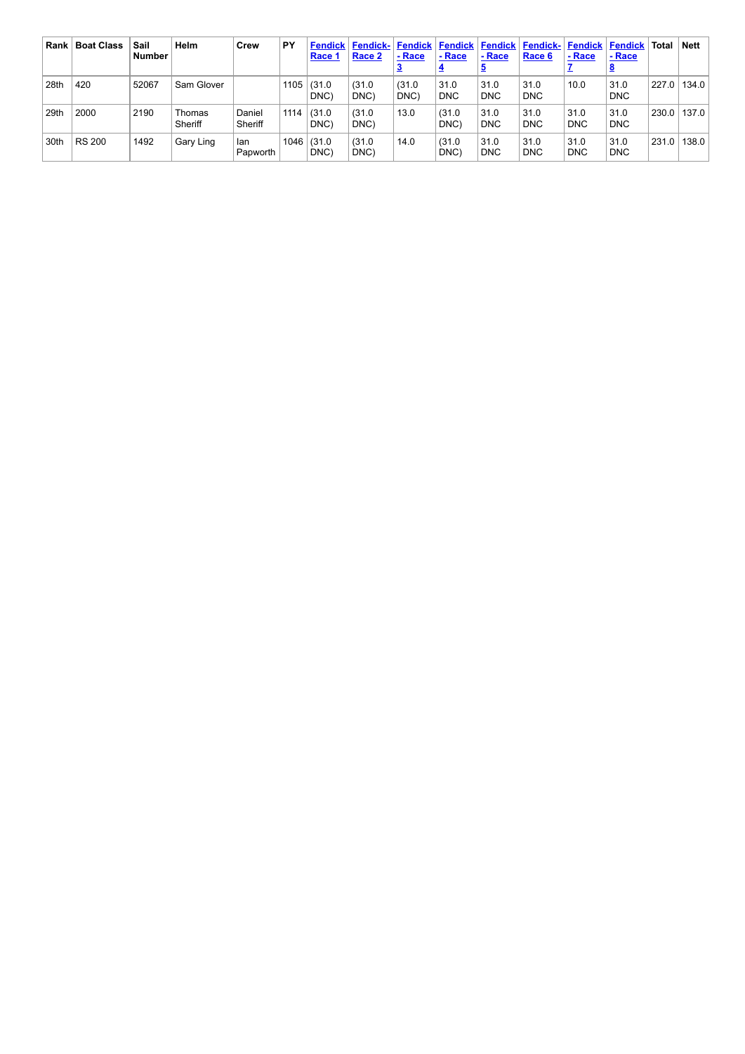| Rank | <b>Boat Class</b> | Sail<br><b>Number</b> | Helm              | Crew              | PY   | <b>Fendick</b><br><b>Race 1</b> | <b>Fendick-</b><br>Race 2 | Fendick<br>- Race | <b>Fendick</b><br>- Race | - Race             | <b>Fendick   Fendick-   Fendick  </b><br>Race 6 | - Race             | <b>Fendick</b><br>- Race | Total | <b>Nett</b> |
|------|-------------------|-----------------------|-------------------|-------------------|------|---------------------------------|---------------------------|-------------------|--------------------------|--------------------|-------------------------------------------------|--------------------|--------------------------|-------|-------------|
| 28th | 420               | 52067                 | Sam Glover        |                   | 1105 | (31.0)<br>DNC)                  | (31.0)<br>DNC)            | (31.0)<br>DNC)    | 31.0<br><b>DNC</b>       | 31.0<br><b>DNC</b> | 31.0<br><b>DNC</b>                              | 10.0               | 31.0<br><b>DNC</b>       | 227.0 | 134.0       |
| 29th | 2000              | 2190                  | Thomas<br>Sheriff | Daniel<br>Sheriff | 1114 | (31.0)<br>DNC)                  | (31.0)<br>DNC)            | 13.0              | (31.0)<br>DNC)           | 31.0<br><b>DNC</b> | 31.0<br><b>DNC</b>                              | 31.0<br><b>DNC</b> | 31.0<br><b>DNC</b>       | 230.0 | 137.0       |
| 30th | <b>RS 200</b>     | 1492                  | Gary Ling         | lan<br>Papworth   | 1046 | (31.0)<br>DNC)                  | (31.0)<br>DNC)            | 14.0              | (31.0)<br>DNC)           | 31.0<br><b>DNC</b> | 31.0<br><b>DNC</b>                              | 31.0<br><b>DNC</b> | 31.0<br><b>DNC</b>       | 231.0 | 138.0       |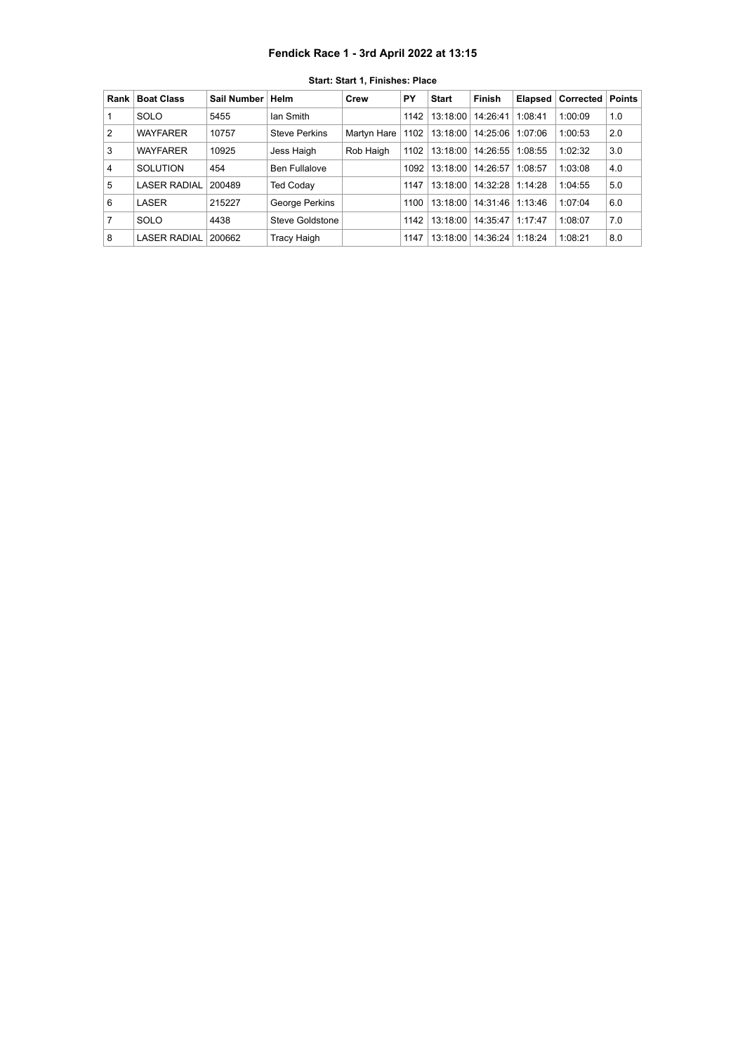### **Fendick Race 1 - 3rd April 2022 at 13:15**

<span id="page-2-0"></span>

| Rank           | <b>Boat Class</b>   | Sail Number | Helm                 | Crew        | PY   | <b>Start</b> | <b>Finish</b> | Elapsed | Corrected | <b>Points</b> |
|----------------|---------------------|-------------|----------------------|-------------|------|--------------|---------------|---------|-----------|---------------|
|                | SOLO                | 5455        | lan Smith            |             | 1142 | 13:18:00     | 14:26:41      | 1:08:41 | 1:00:09   | 1.0           |
| $\overline{2}$ | <b>WAYFARER</b>     | 10757       | <b>Steve Perkins</b> | Martyn Hare | 1102 | 13:18:00     | 14:25:06      | 1:07:06 | 1:00:53   | 2.0           |
| 3              | <b>WAYFARER</b>     | 10925       | Jess Haigh           | Rob Haigh   | 1102 | 13:18:00     | 14:26:55      | 1:08:55 | 1:02:32   | 3.0           |
| 4              | <b>SOLUTION</b>     | 454         | <b>Ben Fullalove</b> |             | 1092 | 13:18:00     | 14:26:57      | 1:08:57 | 1:03:08   | 4.0           |
| 5              | <b>LASER RADIAL</b> | 200489      | <b>Ted Coday</b>     |             | 1147 | 13:18:00     | 14:32:28      | 1:14:28 | 1:04:55   | 5.0           |
| 6              | LASER               | 215227      | George Perkins       |             | 1100 | 13:18:00     | 14:31:46      | 1:13:46 | 1:07:04   | 6.0           |
| 7              | SOLO                | 4438        | Steve Goldstone      |             | 1142 | 13:18:00     | 14:35:47      | 1:17:47 | 1:08:07   | 7.0           |
| 8              | <b>LASER RADIAL</b> | 200662      | Tracy Haigh          |             | 1147 | 13:18:00     | 14:36:24      | 1:18:24 | 1:08:21   | 8.0           |

**Start: Start 1, Finishes: Place**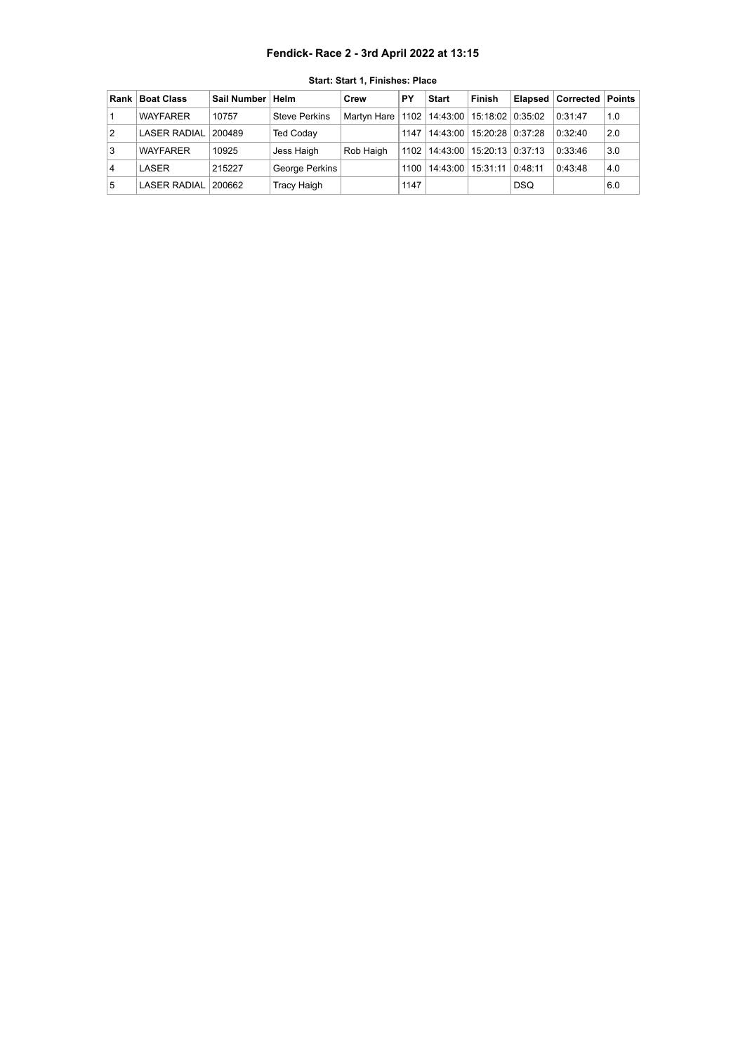### **Fendick- Race 2 - 3rd April 2022 at 13:15**

<span id="page-3-0"></span>

| Rank l | <b>Boat Class</b>   | Sail Number   Helm |                      | Crew          | PΥ   | <b>Start</b>                         | Finish                        |            | <b>Elapsed Corrected Points</b> |     |
|--------|---------------------|--------------------|----------------------|---------------|------|--------------------------------------|-------------------------------|------------|---------------------------------|-----|
|        | <b>WAYFARER</b>     | 10757              | <b>Steve Perkins</b> | Martyn Hare I |      | 1102   14:43:00   15:18:02   0:35:02 |                               |            | 0:31:47                         | 1.0 |
| 2      | <b>LASER RADIAL</b> | 200489             | <b>Ted Coday</b>     |               | 1147 |                                      | 14:43:00   15:20:28   0:37:28 |            | 0:32:40                         | 2.0 |
| 3      | <b>WAYFARER</b>     | 10925              | Jess Haigh           | Rob Haigh     | 1102 |                                      | 14:43:00   15:20:13   0:37:13 |            | 0:33:46                         | 3.0 |
| 4      | LASER               | 215227             | George Perkins       |               | 1100 |                                      | 14:43:00   15:31:11           | 0:48:11    | 0:43:48                         | 4.0 |
| 5      | <b>LASER RADIAL</b> | 200662             | Tracy Haigh          |               | 1147 |                                      |                               | <b>DSQ</b> |                                 | 6.0 |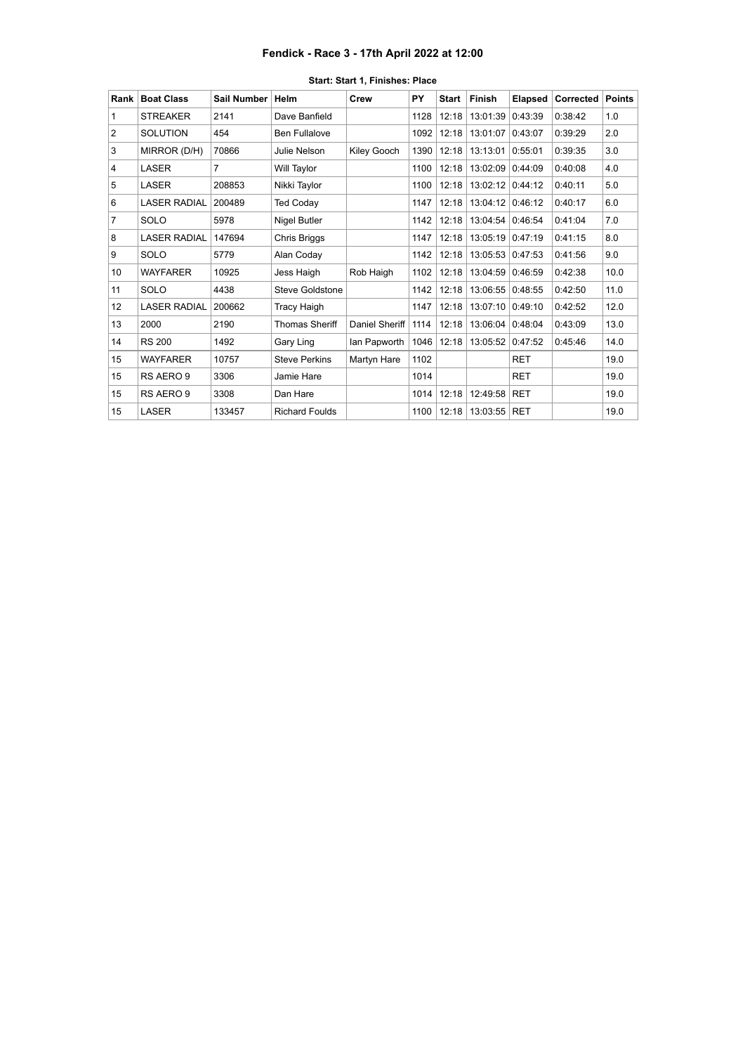### **Fendick - Race 3 - 17th April 2022 at 12:00**

<span id="page-4-0"></span>

| Rank           | <b>Boat Class</b>   | <b>Sail Number</b> | Helm                  | Crew           | PY   | <b>Start</b> | Finish   | <b>Elapsed</b> | Corrected | <b>Points</b> |
|----------------|---------------------|--------------------|-----------------------|----------------|------|--------------|----------|----------------|-----------|---------------|
| 1              | <b>STREAKER</b>     | 2141               | Dave Banfield         |                | 1128 | 12:18        | 13:01:39 | 0:43:39        | 0:38:42   | 1.0           |
| $\overline{2}$ | <b>SOLUTION</b>     | 454                | <b>Ben Fullalove</b>  |                | 1092 | 12:18        | 13:01:07 | 0:43:07        | 0:39:29   | 2.0           |
| 3              | MIRROR (D/H)        | 70866              | Julie Nelson          | Kiley Gooch    | 1390 | 12:18        | 13:13:01 | 0:55:01        | 0:39:35   | 3.0           |
| 4              | LASER               | 7                  | Will Taylor           |                | 1100 | 12:18        | 13:02:09 | 0:44:09        | 0:40:08   | 4.0           |
| 5              | <b>LASER</b>        | 208853             | Nikki Taylor          |                | 1100 | 12:18        | 13:02:12 | 0:44:12        | 0:40:11   | 5.0           |
| 6              | <b>LASER RADIAL</b> | 200489             | <b>Ted Coday</b>      |                | 1147 | 12:18        | 13:04:12 | 0:46:12        | 0:40:17   | 6.0           |
| 7              | <b>SOLO</b>         | 5978               | Nigel Butler          |                | 1142 | 12:18        | 13:04:54 | 0:46:54        | 0:41:04   | 7.0           |
| 8              | <b>LASER RADIAL</b> | 147694             | Chris Briggs          |                | 1147 | 12:18        | 13:05:19 | 0:47:19        | 0:41:15   | 8.0           |
| 9              | <b>SOLO</b>         | 5779               | Alan Coday            |                | 1142 | 12:18        | 13:05:53 | 0:47:53        | 0:41:56   | 9.0           |
| 10             | <b>WAYFARER</b>     | 10925              | Jess Haigh            | Rob Haigh      | 1102 | 12:18        | 13:04:59 | 0:46:59        | 0:42:38   | 10.0          |
| 11             | <b>SOLO</b>         | 4438               | Steve Goldstone       |                | 1142 | 12:18        | 13:06:55 | 0:48:55        | 0:42:50   | 11.0          |
| 12             | <b>LASER RADIAL</b> | 200662             | <b>Tracy Haigh</b>    |                | 1147 | 12:18        | 13:07:10 | 0:49:10        | 0:42:52   | 12.0          |
| 13             | 2000                | 2190               | Thomas Sheriff        | Daniel Sheriff | 1114 | 12:18        | 13:06:04 | 0:48:04        | 0:43:09   | 13.0          |
| 14             | <b>RS 200</b>       | 1492               | Gary Ling             | Ian Papworth   | 1046 | 12:18        | 13:05:52 | 0:47:52        | 0:45:46   | 14.0          |
| 15             | <b>WAYFARER</b>     | 10757              | <b>Steve Perkins</b>  | Martyn Hare    | 1102 |              |          | <b>RET</b>     |           | 19.0          |
| 15             | RS AERO 9           | 3306               | Jamie Hare            |                | 1014 |              |          | <b>RET</b>     |           | 19.0          |
| 15             | RS AERO 9           | 3308               | Dan Hare              |                | 1014 | 12:18        | 12:49:58 | <b>RET</b>     |           | 19.0          |
| 15             | LASER               | 133457             | <b>Richard Foulds</b> |                | 1100 | 12:18        | 13:03:55 | <b>RET</b>     |           | 19.0          |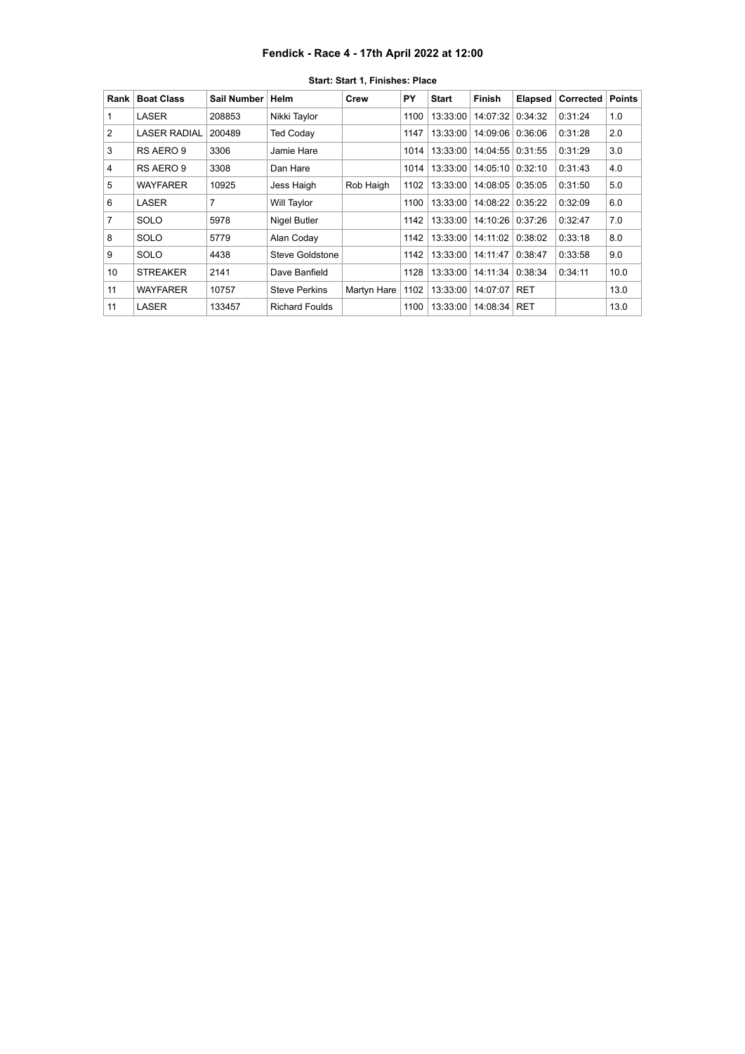### **Fendick - Race 4 - 17th April 2022 at 12:00**

<span id="page-5-0"></span>

| Rank | <b>Boat Class</b>   | Sail Number | Helm                  | Crew        | PY   | <b>Start</b> | Finish             | <b>Elapsed</b> | <b>Corrected</b> | <b>Points</b> |
|------|---------------------|-------------|-----------------------|-------------|------|--------------|--------------------|----------------|------------------|---------------|
|      | LASER               | 208853      | Nikki Taylor          |             | 1100 | 13:33:00     | 14:07:32           | 0:34:32        | 0:31:24          | 1.0           |
| 2    | <b>LASER RADIAL</b> | 200489      | <b>Ted Coday</b>      |             | 1147 | 13:33:00     | 14:09:06           | 0:36:06        | 0:31:28          | 2.0           |
| 3    | RS AERO 9           | 3306        | Jamie Hare            |             | 1014 | 13:33:00     | 14:04:55   0:31:55 |                | 0:31:29          | 3.0           |
| 4    | RS AERO 9           | 3308        | Dan Hare              |             | 1014 | 13:33:00     | 14:05:10 0:32:10   |                | 0:31:43          | 4.0           |
| 5    | WAYFARER            | 10925       | Jess Haigh            | Rob Haigh   | 1102 | 13:33:00     | 14:08:05           | 0:35:05        | 0:31:50          | 5.0           |
| 6    | LASER               | 7           | Will Taylor           |             | 1100 | 13:33:00     | 14:08:22           | 0:35:22        | 0:32:09          | 6.0           |
| 7    | SOLO                | 5978        | <b>Nigel Butler</b>   |             | 1142 | 13:33:00     | 14:10:26           | 0:37:26        | 0:32:47          | 7.0           |
| 8    | SOLO                | 5779        | Alan Coday            |             | 1142 | 13:33:00     | 14:11:02           | 0:38:02        | 0:33:18          | 8.0           |
| 9    | SOLO                | 4438        | Steve Goldstone       |             | 1142 | 13:33:00     | 14:11:47           | 0:38:47        | 0:33:58          | 9.0           |
| 10   | <b>STREAKER</b>     | 2141        | Dave Banfield         |             | 1128 | 13:33:00     | 14:11:34           | 0:38:34        | 0:34:11          | 10.0          |
| 11   | WAYFARER            | 10757       | <b>Steve Perkins</b>  | Martyn Hare | 1102 | 13:33:00     | 14:07:07           | <b>RET</b>     |                  | 13.0          |
| 11   | LASER               | 133457      | <b>Richard Foulds</b> |             | 1100 | 13:33:00     | 14:08:34   RET     |                |                  | 13.0          |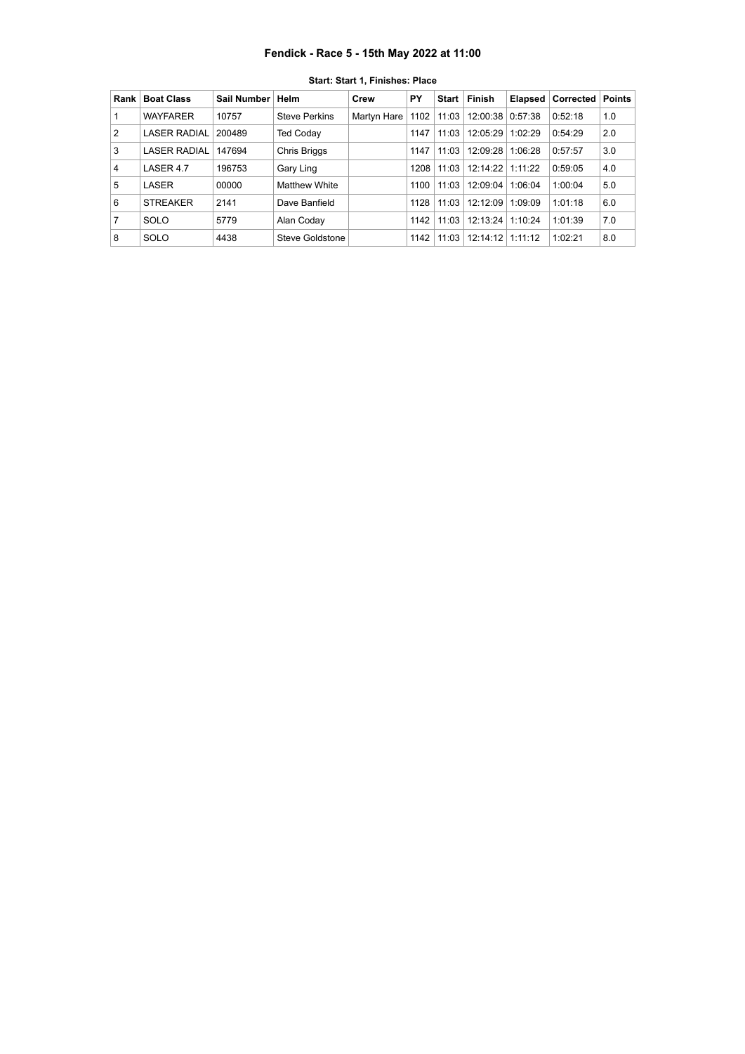## **Fendick - Race 5 - 15th May 2022 at 11:00**

<span id="page-6-0"></span>

| Rank | <b>Boat Class</b>   | Sail Number | ∣ Helm               | Crew        | PΥ   | Start | Finish               | <b>Elapsed</b> | Corrected | <b>Points</b> |
|------|---------------------|-------------|----------------------|-------------|------|-------|----------------------|----------------|-----------|---------------|
|      | <b>WAYFARER</b>     | 10757       | <b>Steve Perkins</b> | Martyn Hare | 1102 | 11:03 | 12:00:38 0:57:38     |                | 0:52:18   | 1.0           |
| 2    | <b>LASER RADIAL</b> | 200489      | <b>Ted Coday</b>     |             | 1147 | 11:03 | 12:05:29             | 1:02:29        | 0:54:29   | 2.0           |
| 3    | <b>LASER RADIAL</b> | 147694      | Chris Briggs         |             | 1147 | 11:03 | 12:09:28             | 1:06:28        | 0:57:57   | 3.0           |
| 4    | LASER 4.7           | 196753      | Gary Ling            |             | 1208 | 11:03 | $12:14:22$   1:11:22 |                | 0:59:05   | 4.0           |
| 5    | LASER               | 00000       | <b>Matthew White</b> |             | 1100 | 11:03 | 12:09:04             | 1:06:04        | 1:00:04   | 5.0           |
| 6    | <b>STREAKER</b>     | 2141        | Dave Banfield        |             | 1128 | 11:03 | 12:12:09             | 1:09:09        | 1:01:18   | 6.0           |
| 7    | SOLO                | 5779        | Alan Coday           |             | 1142 | 11:03 | 12:13:24             | 1:10:24        | 1:01:39   | 7.0           |
| 8    | SOLO                | 4438        | Steve Goldstone      |             | 1142 | 11:03 | 12:14:12             | 1:11:12        | 1:02:21   | 8.0           |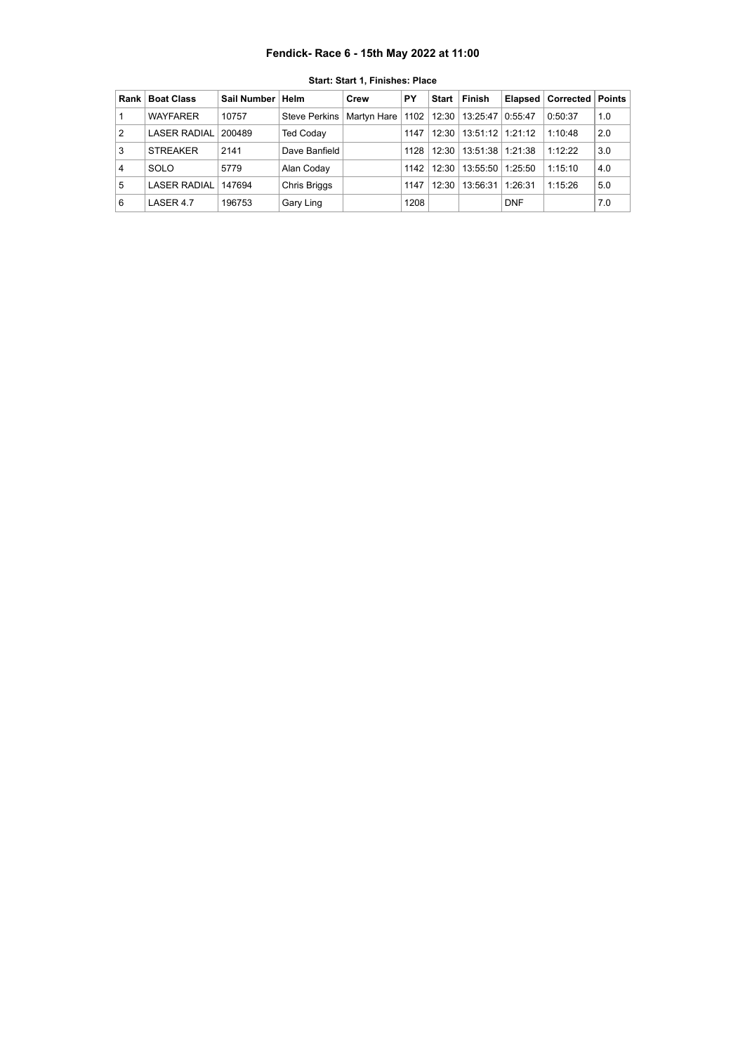## **Fendick- Race 6 - 15th May 2022 at 11:00**

<span id="page-7-0"></span>

| Rank l | <b>Boat Class</b>   | Sail Number   Helm |                      | Crew        | PΥ   | Start | <b>Finish</b>           | <b>Elapsed</b> | Corrected | Points |
|--------|---------------------|--------------------|----------------------|-------------|------|-------|-------------------------|----------------|-----------|--------|
|        | <b>WAYFARER</b>     | 10757              | <b>Steve Perkins</b> | Martyn Hare |      |       | 1102   12:30   13:25:47 | 0:55:47        | 0:50:37   | 1.0    |
| 2      | <b>LASER RADIAL</b> | 200489             | <b>Ted Coday</b>     |             | 1147 | 12:30 | $13:51:12$   1:21:12    |                | 1:10:48   | 2.0    |
| 3      | <b>STREAKER</b>     | 2141               | Dave Banfield        |             | 1128 | 12:30 | $13:51:38$   1:21:38    |                | 1.12.22   | 3.0    |
| 4      | SOLO                | 5779               | Alan Coday           |             | 1142 | 12:30 | 13:55:50                | 1:25:50        | 1:15:10   | 4.0    |
| 5      | <b>LASER RADIAL</b> | 147694             | <b>Chris Briggs</b>  |             | 1147 | 12:30 | 13:56:31                | 1:26:31        | 1:15:26   | 5.0    |
| 6      | LASER 4.7           | 196753             | Gary Ling            |             | 1208 |       |                         | <b>DNF</b>     |           | 7.0    |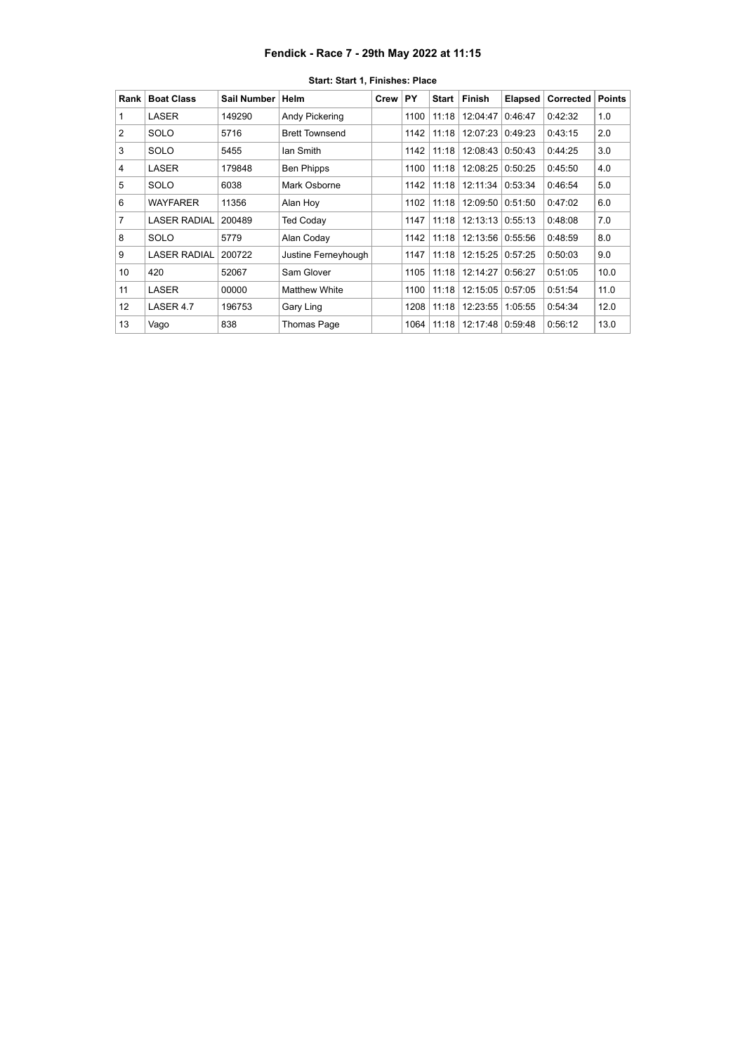## **Fendick - Race 7 - 29th May 2022 at 11:15**

<span id="page-8-0"></span>

| Rank            | <b>Boat Class</b>   | Sail Number | <b>Helm</b>           | Crew | PY   | <b>Start</b> | <b>Finish</b>      | <b>Elapsed</b> | Corrected | <b>Points</b> |
|-----------------|---------------------|-------------|-----------------------|------|------|--------------|--------------------|----------------|-----------|---------------|
| 1               | LASER               | 149290      | Andy Pickering        |      | 1100 | 11:18        | 12:04:47           | 0:46:47        | 0:42:32   | 1.0           |
| $\overline{2}$  | <b>SOLO</b>         | 5716        | <b>Brett Townsend</b> |      | 1142 | 11:18        | 12:07:23           | 0:49:23        | 0:43:15   | 2.0           |
| 3               | <b>SOLO</b>         | 5455        | lan Smith             |      | 1142 | 11:18        | 12:08:43           | 0:50:43        | 0:44:25   | 3.0           |
| 4               | LASER               | 179848      | <b>Ben Phipps</b>     |      | 1100 | 11:18        | 12:08:25           | 0:50:25        | 0:45:50   | 4.0           |
| 5               | <b>SOLO</b>         | 6038        | Mark Osborne          |      | 1142 | 11:18        | 12:11:34           | 0:53:34        | 0:46:54   | 5.0           |
| 6               | <b>WAYFARER</b>     | 11356       | Alan Hoy              |      | 1102 | 11:18        | 12:09:50           | 0:51:50        | 0:47:02   | 6.0           |
| 7               | <b>LASER RADIAL</b> | 200489      | <b>Ted Coday</b>      |      | 1147 | 11:18        | $12:13:13$ 0:55:13 |                | 0:48:08   | 7.0           |
| 8               | <b>SOLO</b>         | 5779        | Alan Coday            |      | 1142 | 11:18        | 12:13:56   0:55:56 |                | 0:48:59   | 8.0           |
| 9               | <b>LASER RADIAL</b> | 200722      | Justine Ferneyhough   |      | 1147 | 11:18        | 12:15:25           | 0:57:25        | 0:50:03   | 9.0           |
| 10              | 420                 | 52067       | Sam Glover            |      | 1105 | 11:18        | 12:14:27           | 0:56:27        | 0:51:05   | 10.0          |
| 11              | <b>LASER</b>        | 00000       | <b>Matthew White</b>  |      | 1100 | 11:18        | 12:15:05           | 0:57:05        | 0:51:54   | 11.0          |
| 12 <sup>2</sup> | LASER 4.7           | 196753      | Gary Ling             |      | 1208 | 11:18        | 12:23:55           | 1:05:55        | 0:54:34   | 12.0          |
| 13              | Vago                | 838         | <b>Thomas Page</b>    |      | 1064 | 11:18        | 12:17:48 0:59:48   |                | 0:56:12   | 13.0          |